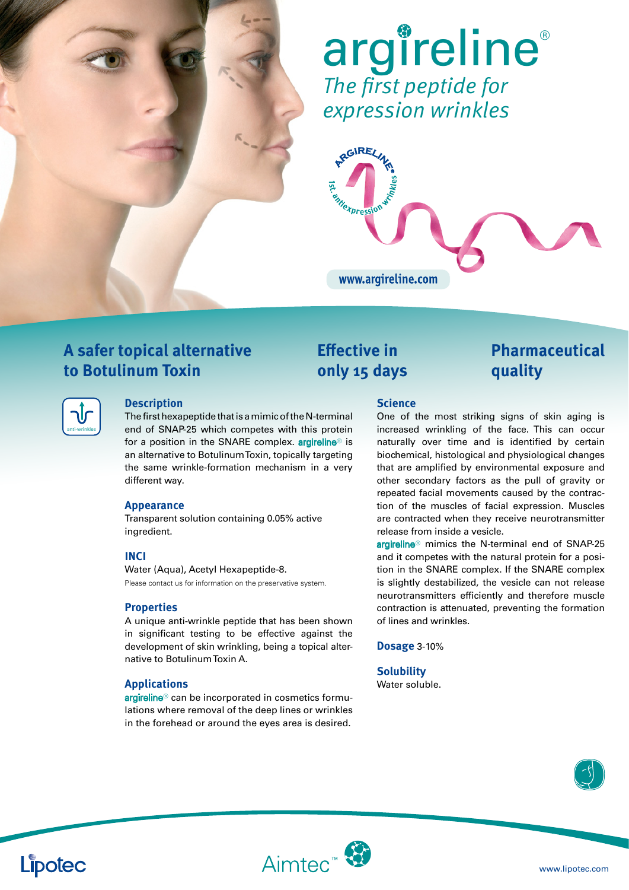

# *The first peptide for expression wrinkles* argireline®



### **A safer topical alternative to Botulinum Toxin**

| anti-wrinkles |
|---------------|

### **Description**

The first hexapeptide that is a mimic of the N-terminal end of SNAP-25 which competes with this protein for a position in the SNARE complex. **argireline®** is an alternative to Botulinum Toxin, topically targeting the same wrinkle-formation mechanism in a very different way.

### **Appearance**

Transparent solution containing 0.05% active ingredient.

### **INCI**

Water (Aqua), Acetyl Hexapeptide-8. Please contact us for information on the preservative system.

### **Properties**

A unique anti-wrinkle peptide that has been shown in significant testing to be effective against the development of skin wrinkling, being a topical alternative to Botulinum Toxin A.

#### **Applications**

argireline<sup>®</sup> can be incorporated in cosmetics formulations where removal of the deep lines or wrinkles in the forehead or around the eyes area is desired.

## **Effective in only 15 days**

### **Pharmaceutical quality**

#### **Science**

One of the most striking signs of skin aging is increased wrinkling of the face. This can occur naturally over time and is identified by certain biochemical, histological and physiological changes that are amplified by environmental exposure and other secondary factors as the pull of gravity or repeated facial movements caused by the contraction of the muscles of facial expression. Muscles are contracted when they receive neurotransmitter release from inside a vesicle.

argireline<sup>®</sup> mimics the N-terminal end of SNAP-25 and it competes with the natural protein for a position in the SNARE complex. If the SNARE complex is slightly destabilized, the vesicle can not release neurotransmitters efficiently and therefore muscle contraction is attenuated, preventing the formation of lines and wrinkles.

**Dosage** 3-10%

**Solubility** Water soluble.